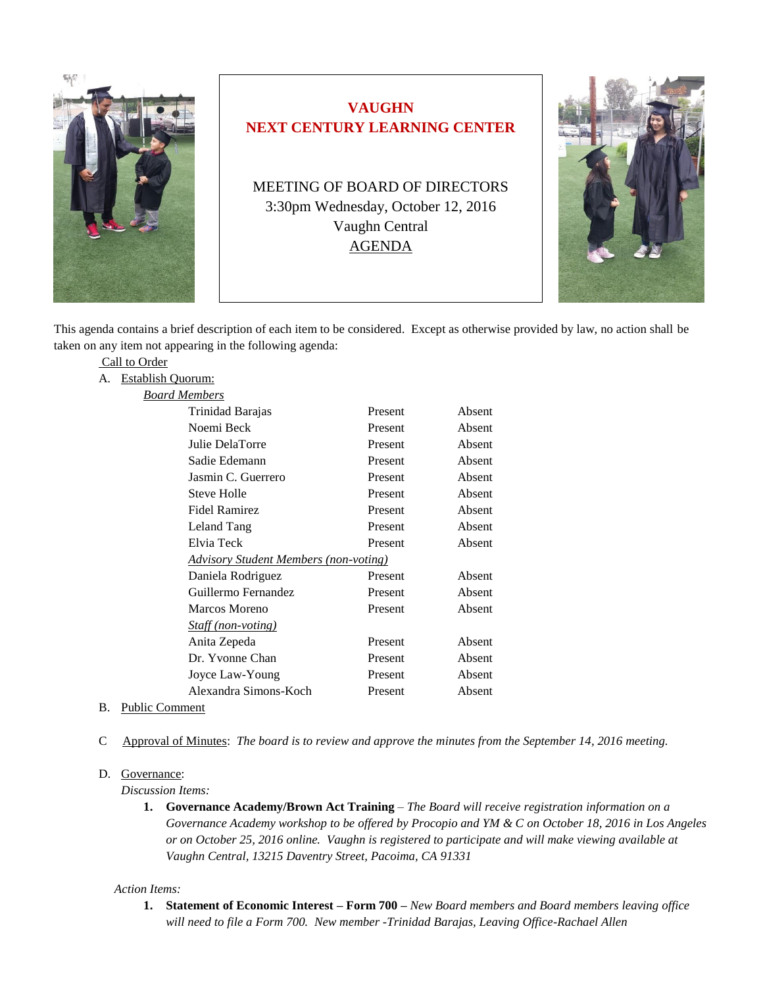

# **VAUGHN NEXT CENTURY LEARNING CENTER**

MEETING OF BOARD OF DIRECTORS 3:30pm Wednesday, October 12, 2016 Vaughn Central AGENDA



This agenda contains a brief description of each item to be considered. Except as otherwise provided by law, no action shall be taken on any item not appearing in the following agenda:

|    | Call to Order     |                                       |         |        |
|----|-------------------|---------------------------------------|---------|--------|
| А. | Establish Quorum: |                                       |         |        |
|    |                   | <b>Board Members</b>                  |         |        |
|    |                   | Trinidad Barajas                      | Present | Absent |
|    |                   | Noemi Beck                            | Present | Absent |
|    |                   | Julie DelaTorre                       | Present | Absent |
|    |                   | Sadie Edemann                         | Present | Absent |
|    |                   | Jasmin C. Guerrero                    | Present | Absent |
|    |                   | <b>Steve Holle</b>                    | Present | Absent |
|    |                   | <b>Fidel Ramirez</b>                  | Present | Absent |
|    |                   | Leland Tang                           | Present | Absent |
|    |                   | Elvia Teck                            | Present | Absent |
|    |                   | Advisory Student Members (non-voting) |         |        |
|    |                   | Daniela Rodriguez                     | Present | Absent |
|    |                   | Guillermo Fernandez                   | Present | Absent |
|    |                   | <b>Marcos Moreno</b>                  | Present | Absent |
|    |                   | <i>Staff (non-voting)</i>             |         |        |
|    |                   | Anita Zepeda                          | Present | Absent |
|    |                   | Dr. Yvonne Chan                       | Present | Absent |
|    |                   | Joyce Law-Young                       | Present | Absent |
|    |                   | Alexandra Simons-Koch                 | Present | Absent |
|    |                   |                                       |         |        |

- B. Public Comment
- C Approval of Minutes: *The board is to review and approve the minutes from the September 14, 2016 meeting.*

#### D. Governance:

*Discussion Items:* 

**1. Governance Academy/Brown Act Training** – *The Board will receive registration information on a Governance Academy workshop to be offered by Procopio and YM & C on October 18, 2016 in Los Angeles or on October 25, 2016 online. Vaughn is registered to participate and will make viewing available at Vaughn Central, 13215 Daventry Street, Pacoima, CA 91331*

#### *Action Items:*

**1. Statement of Economic Interest – Form 700 –** *New Board members and Board members leaving office will need to file a Form 700. New member -Trinidad Barajas, Leaving Office-Rachael Allen*